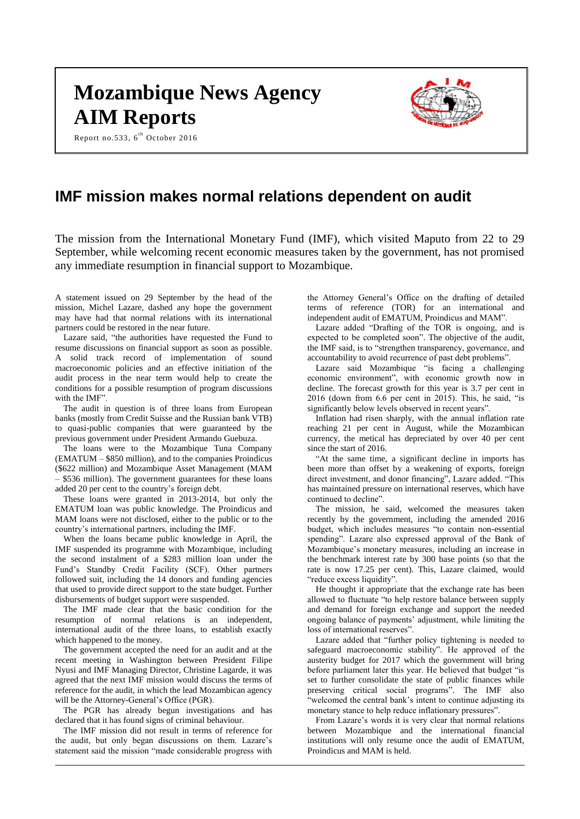# **Mozambique News Agency AIM Reports**

Report no.533,  $6^{\text{th}}$  October 2016



# **IMF mission makes normal relations dependent on audit**

The mission from the International Monetary Fund (IMF), which visited Maputo from 22 to 29 September, while welcoming recent economic measures taken by the government, has not promised any immediate resumption in financial support to Mozambique.

A statement issued on 29 September by the head of the mission, Michel Lazare, dashed any hope the government may have had that normal relations with its international partners could be restored in the near future.

Lazare said, "the authorities have requested the Fund to resume discussions on financial support as soon as possible. A solid track record of implementation of sound macroeconomic policies and an effective initiation of the audit process in the near term would help to create the conditions for a possible resumption of program discussions with the IMF"

The audit in question is of three loans from European banks (mostly from Credit Suisse and the Russian bank VTB) to quasi-public companies that were guaranteed by the previous government under President Armando Guebuza.

The loans were to the Mozambique Tuna Company (EMATUM – \$850 million), and to the companies Proindicus (\$622 million) and Mozambique Asset Management (MAM – \$536 million). The government guarantees for these loans added 20 per cent to the country's foreign debt.

These loans were granted in 2013-2014, but only the EMATUM loan was public knowledge. The Proindicus and MAM loans were not disclosed, either to the public or to the country's international partners, including the IMF.

When the loans became public knowledge in April, the IMF suspended its programme with Mozambique, including the second instalment of a \$283 million loan under the Fund's Standby Credit Facility (SCF). Other partners followed suit, including the 14 donors and funding agencies that used to provide direct support to the state budget. Further disbursements of budget support were suspended.

The IMF made clear that the basic condition for the resumption of normal relations is an independent, international audit of the three loans, to establish exactly which happened to the money.

The government accepted the need for an audit and at the recent meeting in Washington between President Filipe Nyusi and IMF Managing Director, Christine Lagarde, it was agreed that the next IMF mission would discuss the terms of reference for the audit, in which the lead Mozambican agency will be the Attorney-General's Office (PGR).

The PGR has already begun investigations and has declared that it has found signs of criminal behaviour.

The IMF mission did not result in terms of reference for the audit, but only began discussions on them. Lazare's statement said the mission "made considerable progress with the Attorney General's Office on the drafting of detailed terms of reference (TOR) for an international and independent audit of EMATUM, Proindicus and MAM".

Lazare added "Drafting of the TOR is ongoing, and is expected to be completed soon". The objective of the audit, the IMF said, is to "strengthen transparency, governance, and accountability to avoid recurrence of past debt problems".

Lazare said Mozambique "is facing a challenging economic environment", with economic growth now in decline. The forecast growth for this year is 3.7 per cent in 2016 (down from 6.6 per cent in 2015). This, he said, "is significantly below levels observed in recent years".

Inflation had risen sharply, with the annual inflation rate reaching 21 per cent in August, while the Mozambican currency, the metical has depreciated by over 40 per cent since the start of 2016.

"At the same time, a significant decline in imports has been more than offset by a weakening of exports, foreign direct investment, and donor financing", Lazare added. "This has maintained pressure on international reserves, which have continued to decline".

The mission, he said, welcomed the measures taken recently by the government, including the amended 2016 budget, which includes measures "to contain non-essential spending". Lazare also expressed approval of the Bank of Mozambique's monetary measures, including an increase in the benchmark interest rate by 300 base points (so that the rate is now 17.25 per cent). This, Lazare claimed, would "reduce excess liquidity".

He thought it appropriate that the exchange rate has been allowed to fluctuate "to help restore balance between supply and demand for foreign exchange and support the needed ongoing balance of payments' adjustment, while limiting the loss of international reserves".

Lazare added that "further policy tightening is needed to safeguard macroeconomic stability". He approved of the austerity budget for 2017 which the government will bring before parliament later this year. He believed that budget "is set to further consolidate the state of public finances while preserving critical social programs". The IMF also "welcomed the central bank's intent to continue adjusting its monetary stance to help reduce inflationary pressures".

From Lazare's words it is very clear that normal relations between Mozambique and the international financial institutions will only resume once the audit of EMATUM, Proindicus and MAM is held.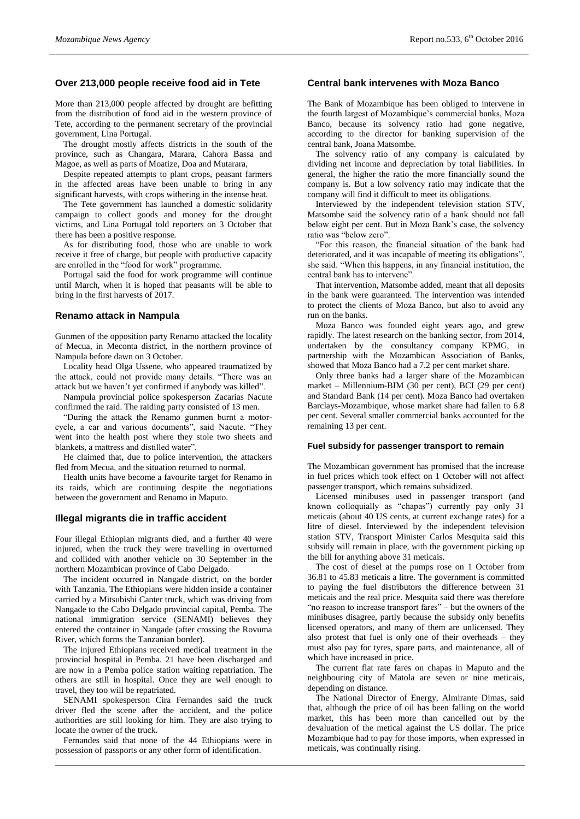# **Over 213,000 people receive food aid in Tete**

More than 213,000 people affected by drought are befitting from the distribution of food aid in the western province of Tete, according to the permanent secretary of the provincial government, Lina Portugal.

The drought mostly affects districts in the south of the province, such as Changara, Marara, Cahora Bassa and Magoe, as well as parts of Moatize, Doa and Mutarara,

Despite repeated attempts to plant crops, peasant farmers in the affected areas have been unable to bring in any significant harvests, with crops withering in the intense heat.

The Tete government has launched a domestic solidarity campaign to collect goods and money for the drought victims, and Lina Portugal told reporters on 3 October that there has been a positive response.

As for distributing food, those who are unable to work receive it free of charge, but people with productive capacity are enrolled in the "food for work" programme.

Portugal said the food for work programme will continue until March, when it is hoped that peasants will be able to bring in the first harvests of 2017.

#### **Renamo attack in Nampula**

Gunmen of the opposition party Renamo attacked the locality of Mecua, in Meconta district, in the northern province of Nampula before dawn on 3 October.

Locality head Olga Ussene, who appeared traumatized by the attack, could not provide many details. "There was an attack but we haven't yet confirmed if anybody was killed".

Nampula provincial police spokesperson Zacarias Nacute confirmed the raid. The raiding party consisted of 13 men.

"During the attack the Renamo gunmen burnt a motorcycle, a car and various documents", said Nacute. "They went into the health post where they stole two sheets and blankets, a mattress and distilled water".

He claimed that, due to police intervention, the attackers fled from Mecua, and the situation returned to normal.

Health units have become a favourite target for Renamo in its raids, which are continuing despite the negotiations between the government and Renamo in Maputo.

#### **Illegal migrants die in traffic accident**

Four illegal Ethiopian migrants died, and a further 40 were injured, when the truck they were travelling in overturned and collided with another vehicle on 30 September in the northern Mozambican province of Cabo Delgado.

The incident occurred in Nangade district, on the border with Tanzania. The Ethiopians were hidden inside a container carried by a Mitsubishi Canter truck, which was driving from Nangade to the Cabo Delgado provincial capital, Pemba. The national immigration service (SENAMI) believes they entered the container in Nangade (after crossing the Rovuma River, which forms the Tanzanian border).

The injured Ethiopians received medical treatment in the provincial hospital in Pemba. 21 have been discharged and are now in a Pemba police station waiting repatriation. The others are still in hospital. Once they are well enough to travel, they too will be repatriated.

SENAMI spokesperson Cira Fernandes said the truck driver fled the scene after the accident, and the police authorities are still looking for him. They are also trying to locate the owner of the truck.

Fernandes said that none of the 44 Ethiopians were in possession of passports or any other form of identification.

# **Central bank intervenes with Moza Banco**

The Bank of Mozambique has been obliged to intervene in the fourth largest of Mozambique's commercial banks, Moza Banco, because its solvency ratio had gone negative, according to the director for banking supervision of the central bank, Joana Matsombe.

The solvency ratio of any company is calculated by dividing net income and depreciation by total liabilities. In general, the higher the ratio the more financially sound the company is. But a low solvency ratio may indicate that the company will find it difficult to meet its obligations.

Interviewed by the independent television station STV, Matsombe said the solvency ratio of a bank should not fall below eight per cent. But in Moza Bank's case, the solvency ratio was "below zero".

"For this reason, the financial situation of the bank had deteriorated, and it was incapable of meeting its obligations", she said. "When this happens, in any financial institution, the central bank has to intervene".

That intervention, Matsombe added, meant that all deposits in the bank were guaranteed. The intervention was intended to protect the clients of Moza Banco, but also to avoid any run on the banks.

Moza Banco was founded eight years ago, and grew rapidly. The latest research on the banking sector, from 2014, undertaken by the consultancy company KPMG, in partnership with the Mozambican Association of Banks, showed that Moza Banco had a 7.2 per cent market share.

Only three banks had a larger share of the Mozambican market – Millennium-BIM (30 per cent), BCI (29 per cent) and Standard Bank (14 per cent). Moza Banco had overtaken Barclays-Mozambique, whose market share had fallen to 6.8 per cent. Several smaller commercial banks accounted for the remaining 13 per cent.

#### **Fuel subsidy for passenger transport to remain**

The Mozambican government has promised that the increase in fuel prices which took effect on 1 October will not affect passenger transport, which remains subsidized.

Licensed minibuses used in passenger transport (and known colloquially as "chapas") currently pay only 31 meticais (about 40 US cents, at current exchange rates) for a litre of diesel. Interviewed by the independent television station STV, Transport Minister Carlos Mesquita said this subsidy will remain in place, with the government picking up the bill for anything above 31 meticais.

The cost of diesel at the pumps rose on 1 October from 36.81 to 45.83 meticais a litre. The government is committed to paying the fuel distributors the difference between 31 meticais and the real price. Mesquita said there was therefore "no reason to increase transport fares" – but the owners of the minibuses disagree, partly because the subsidy only benefits licensed operators, and many of them are unlicensed. They also protest that fuel is only one of their overheads – they must also pay for tyres, spare parts, and maintenance, all of which have increased in price.

The current flat rate fares on chapas in Maputo and the neighbouring city of Matola are seven or nine meticais, depending on distance.

The National Director of Energy, Almirante Dimas, said that, although the price of oil has been falling on the world market, this has been more than cancelled out by the devaluation of the metical against the US dollar. The price Mozambique had to pay for those imports, when expressed in meticais, was continually rising.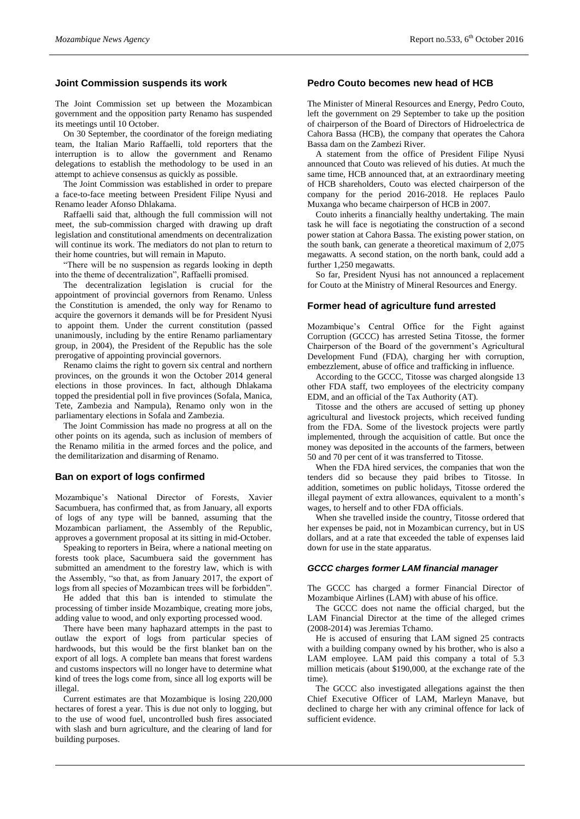# **Joint Commission suspends its work**

The Joint Commission set up between the Mozambican government and the opposition party Renamo has suspended its meetings until 10 October.

On 30 September, the coordinator of the foreign mediating team, the Italian Mario Raffaelli, told reporters that the interruption is to allow the government and Renamo delegations to establish the methodology to be used in an attempt to achieve consensus as quickly as possible.

The Joint Commission was established in order to prepare a face-to-face meeting between President Filipe Nyusi and Renamo leader Afonso Dhlakama.

Raffaelli said that, although the full commission will not meet, the sub-commission charged with drawing up draft legislation and constitutional amendments on decentralization will continue its work. The mediators do not plan to return to their home countries, but will remain in Maputo.

"There will be no suspension as regards looking in depth into the theme of decentralization", Raffaelli promised.

The decentralization legislation is crucial for the appointment of provincial governors from Renamo. Unless the Constitution is amended, the only way for Renamo to acquire the governors it demands will be for President Nyusi to appoint them. Under the current constitution (passed unanimously, including by the entire Renamo parliamentary group, in 2004), the President of the Republic has the sole prerogative of appointing provincial governors.

Renamo claims the right to govern six central and northern provinces, on the grounds it won the October 2014 general elections in those provinces. In fact, although Dhlakama topped the presidential poll in five provinces (Sofala, Manica, Tete, Zambezia and Nampula), Renamo only won in the parliamentary elections in Sofala and Zambezia.

The Joint Commission has made no progress at all on the other points on its agenda, such as inclusion of members of the Renamo militia in the armed forces and the police, and the demilitarization and disarming of Renamo.

#### **Ban on export of logs confirmed**

Mozambique's National Director of Forests, Xavier Sacumbuera, has confirmed that, as from January, all exports of logs of any type will be banned, assuming that the Mozambican parliament, the Assembly of the Republic, approves a government proposal at its sitting in mid-October.

Speaking to reporters in Beira, where a national meeting on forests took place, Sacumbuera said the government has submitted an amendment to the forestry law, which is with the Assembly, "so that, as from January 2017, the export of logs from all species of Mozambican trees will be forbidden".

He added that this ban is intended to stimulate the processing of timber inside Mozambique, creating more jobs, adding value to wood, and only exporting processed wood.

There have been many haphazard attempts in the past to outlaw the export of logs from particular species of hardwoods, but this would be the first blanket ban on the export of all logs. A complete ban means that forest wardens and customs inspectors will no longer have to determine what kind of trees the logs come from, since all log exports will be illegal.

Current estimates are that Mozambique is losing 220,000 hectares of forest a year. This is due not only to logging, but to the use of wood fuel, uncontrolled bush fires associated with slash and burn agriculture, and the clearing of land for building purposes.

# **Pedro Couto becomes new head of HCB**

The Minister of Mineral Resources and Energy, Pedro Couto, left the government on 29 September to take up the position of chairperson of the Board of Directors of Hidroelectrica de Cahora Bassa (HCB), the company that operates the Cahora Bassa dam on the Zambezi River.

A statement from the office of President Filipe Nyusi announced that Couto was relieved of his duties. At much the same time, HCB announced that, at an extraordinary meeting of HCB shareholders, Couto was elected chairperson of the company for the period 2016-2018. He replaces Paulo Muxanga who became chairperson of HCB in 2007.

Couto inherits a financially healthy undertaking. The main task he will face is negotiating the construction of a second power station at Cahora Bassa. The existing power station, on the south bank, can generate a theoretical maximum of 2,075 megawatts. A second station, on the north bank, could add a further 1,250 megawatts.

So far, President Nyusi has not announced a replacement for Couto at the Ministry of Mineral Resources and Energy.

#### **Former head of agriculture fund arrested**

Mozambique's Central Office for the Fight against Corruption (GCCC) has arrested Setina Titosse, the former Chairperson of the Board of the government's Agricultural Development Fund (FDA), charging her with corruption, embezzlement, abuse of office and trafficking in influence.

According to the GCCC, Titosse was charged alongside 13 other FDA staff, two employees of the electricity company EDM, and an official of the Tax Authority (AT).

Titosse and the others are accused of setting up phoney agricultural and livestock projects, which received funding from the FDA. Some of the livestock projects were partly implemented, through the acquisition of cattle. But once the money was deposited in the accounts of the farmers, between 50 and 70 per cent of it was transferred to Titosse.

When the FDA hired services, the companies that won the tenders did so because they paid bribes to Titosse. In addition, sometimes on public holidays, Titosse ordered the illegal payment of extra allowances, equivalent to a month's wages, to herself and to other FDA officials.

When she travelled inside the country, Titosse ordered that her expenses be paid, not in Mozambican currency, but in US dollars, and at a rate that exceeded the table of expenses laid down for use in the state apparatus.

#### *GCCC charges former LAM financial manager*

The GCCC has charged a former Financial Director of Mozambique Airlines (LAM) with abuse of his office.

The GCCC does not name the official charged, but the LAM Financial Director at the time of the alleged crimes (2008-2014) was Jeremias Tchamo.

He is accused of ensuring that LAM signed 25 contracts with a building company owned by his brother, who is also a LAM employee. LAM paid this company a total of 5.3 million meticais (about \$190,000, at the exchange rate of the time).

The GCCC also investigated allegations against the then Chief Executive Officer of LAM, Marleyn Manave, but declined to charge her with any criminal offence for lack of sufficient evidence.